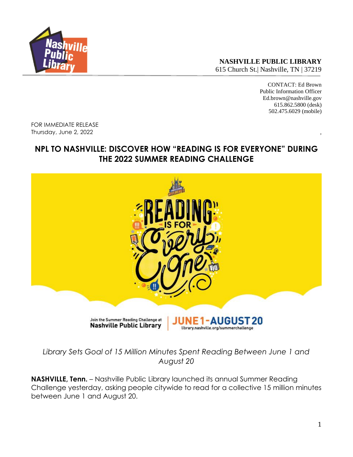

**NASHVILLE PUBLIC LIBRARY** 615 Church St.| Nashville, TN | 37219

> CONTACT: Ed Brown Public Information Officer Ed.brown@nashville.gov 615.862.5800 (desk) 502.475.6029 (mobile)

FOR IMMEDIATE RELEASE Thursday, June 2, 2022

# **NPL TO NASHVILLE: DISCOVER HOW "READING IS FOR EVERYONE" DURING THE 2022 SUMMER READING CHALLENGE**



*Library Sets Goal of 15 Million Minutes Spent Reading Between June 1 and August 20*

**NASHVILLE, Tenn.** – Nashville Public Library launched its annual Summer Reading Challenge yesterday, asking people citywide to read for a collective 15 million minutes between June 1 and August 20.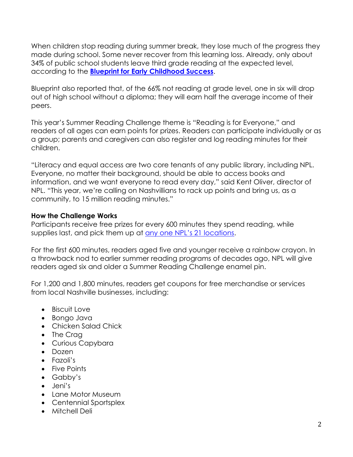When children stop reading during summer break, they lose much of the progress they made during school. Some never recover from this learning loss. Already, only about 34% of public school students leave third grade reading at the expected level, according to the **Blueprint for [Early Childhood Success](https://static1.squarespace.com/static/5d9f714356f396759ac77c0e/t/5da0dfcb21a71c6940418411/1570824161769/Blueprint_Full_Report.pdf)**.

Blueprint also reported that, of the 66% not reading at grade level, one in six will drop out of high school without a diploma; they will earn half the average income of their peers.

This year's Summer Reading Challenge theme is "Reading is for Everyone," and readers of all ages can earn points for prizes. Readers can participate individually or as a group; parents and caregivers can also register and log reading minutes for their children.

"Literacy and equal access are two core tenants of any public library, including NPL. Everyone, no matter their background, should be able to access books and information, and we want everyone to read every day," said Kent Oliver, director of NPL. "This year, we're calling on Nashvillians to rack up points and bring us, as a community, to 15 million reading minutes."

#### **How the Challenge Works**

Participants receive free prizes for every 600 minutes they spend reading, while supplies last, and pick them up at [any one NPL's 21 locations](https://library.nashville.org/locations).

For the first 600 minutes, readers aged five and younger receive a rainbow crayon. In a throwback nod to earlier summer reading programs of decades ago, NPL will give readers aged six and older a Summer Reading Challenge enamel pin.

For 1,200 and 1,800 minutes, readers get coupons for free merchandise or services from local Nashville businesses, including:

- Biscuit Love
- Bongo Java
- Chicken Salad Chick
- The Crag
- Curious Capybara
- Dozen
- Fazoli's
- Five Points
- Gabby's
- Jeni's
- Lane Motor Museum
- Centennial Sportsplex
- Mitchell Deli